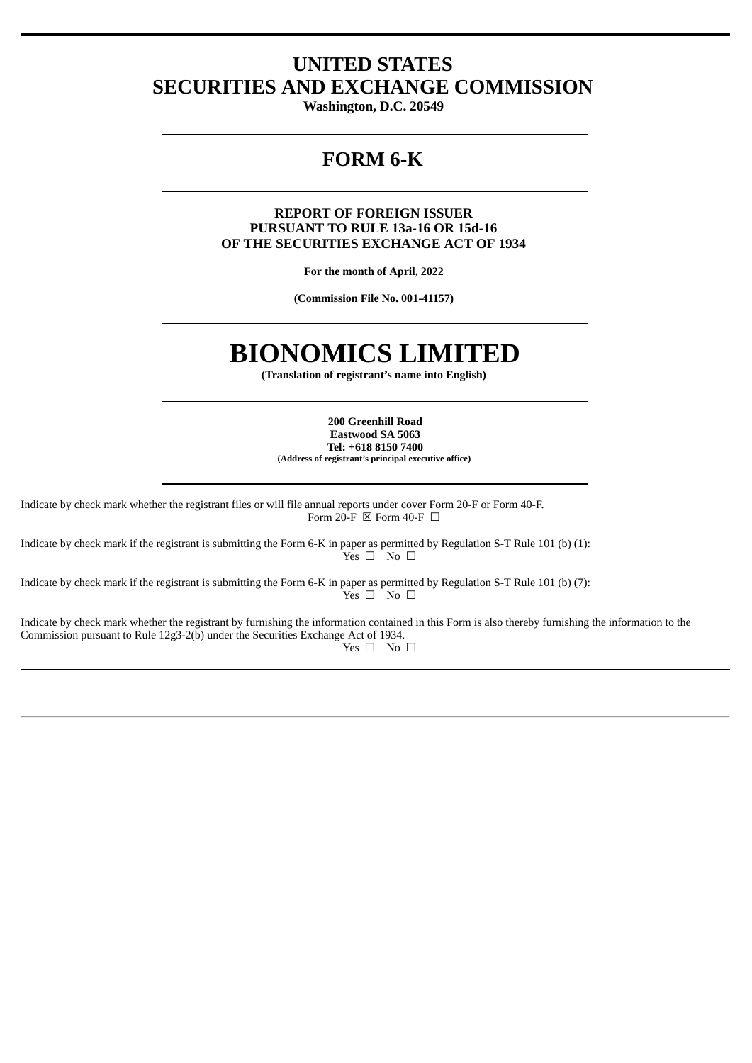# **UNITED STATES SECURITIES AND EXCHANGE COMMISSION**

**Washington, D.C. 20549**

# **FORM 6-K**

### **REPORT OF FOREIGN ISSUER PURSUANT TO RULE 13a-16 OR 15d-16 OF THE SECURITIES EXCHANGE ACT OF 1934**

**For the month of April, 2022**

**(Commission File No. 001-41157)**

# **BIONOMICS LIMITED**

**(Translation of registrant's name into English)**

**200 Greenhill Road Eastwood SA 5063 Tel: +618 8150 7400 (Address of registrant's principal executive office)**

Indicate by check mark whether the registrant files or will file annual reports under cover Form 20-F or Form 40-F. Form 20-F  $\boxtimes$  Form 40-F  $\Box$ 

Indicate by check mark if the registrant is submitting the Form 6-K in paper as permitted by Regulation S-T Rule 101 (b) (1):  $Yes \Box$  No  $\Box$ 

Indicate by check mark if the registrant is submitting the Form 6-K in paper as permitted by Regulation S-T Rule 101 (b) (7):  $Y$ es  $\square$  No  $\square$ 

Indicate by check mark whether the registrant by furnishing the information contained in this Form is also thereby furnishing the information to the Commission pursuant to Rule 12g3-2(b) under the Securities Exchange Act of 1934. Yes □ No □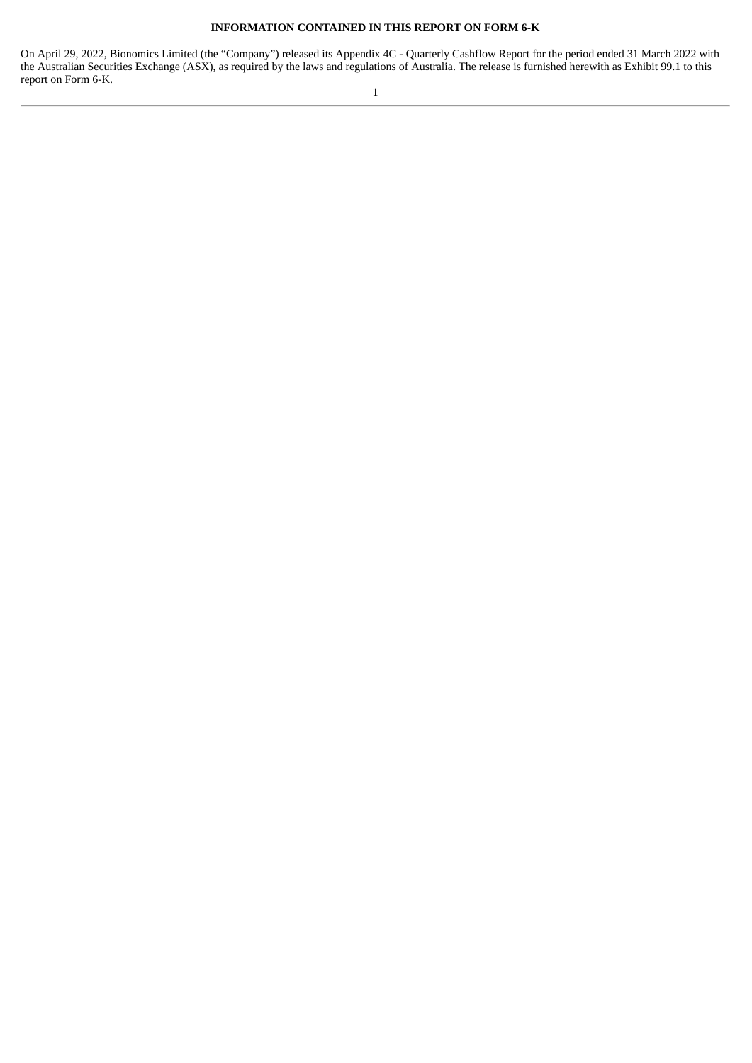#### **INFORMATION CONTAINED IN THIS REPORT ON FORM 6-K**

On April 29, 2022, Bionomics Limited (the "Company") released its Appendix 4C - Quarterly Cashflow Report for the period ended 31 March 2022 with the Australian Securities Exchange (ASX), as required by the laws and regulations of Australia. The release is furnished herewith as Exhibit 99.1 to this report on Form 6-K.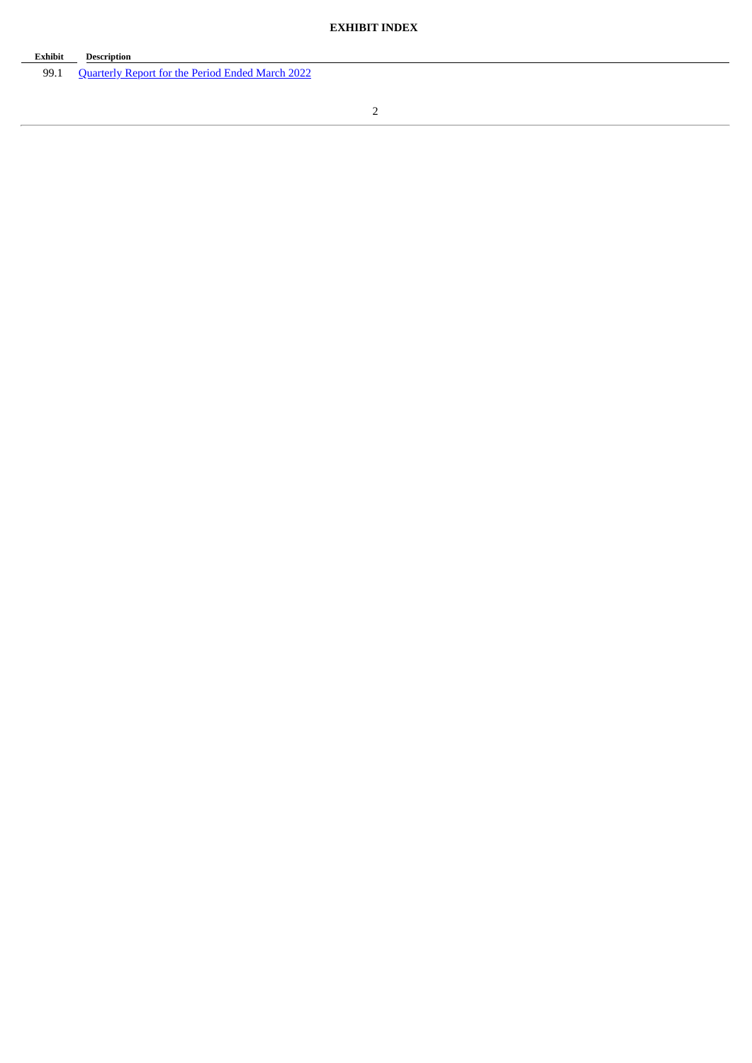| Exhibit | <b>Description</b>                                      |
|---------|---------------------------------------------------------|
| 99.1    | <b>Quarterly Report for the Period Ended March 2022</b> |

 $\overline{\phantom{a}}$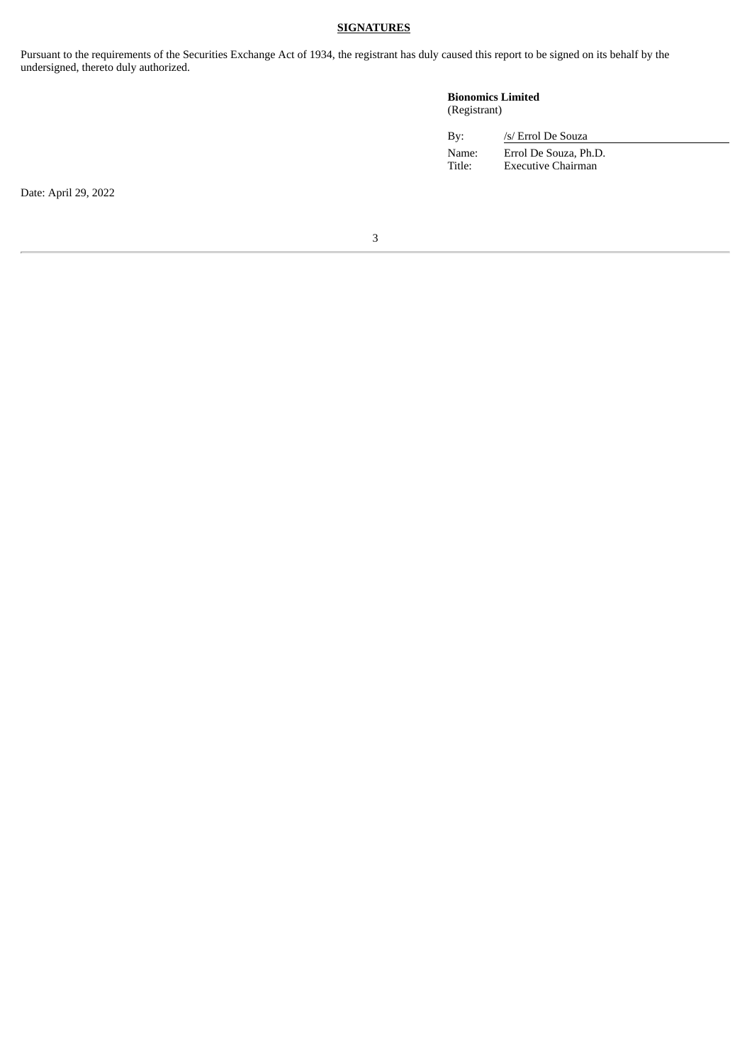### **SIGNATURES**

Pursuant to the requirements of the Securities Exchange Act of 1934, the registrant has duly caused this report to be signed on its behalf by the undersigned, thereto duly authorized.

### **Bionomics Limited** (Registrant)

| By:             | /s/ Errol De Souza                          |  |
|-----------------|---------------------------------------------|--|
| Name:<br>Title: | Errol De Souza, Ph.D.<br>Executive Chairman |  |

Date: April 29, 2022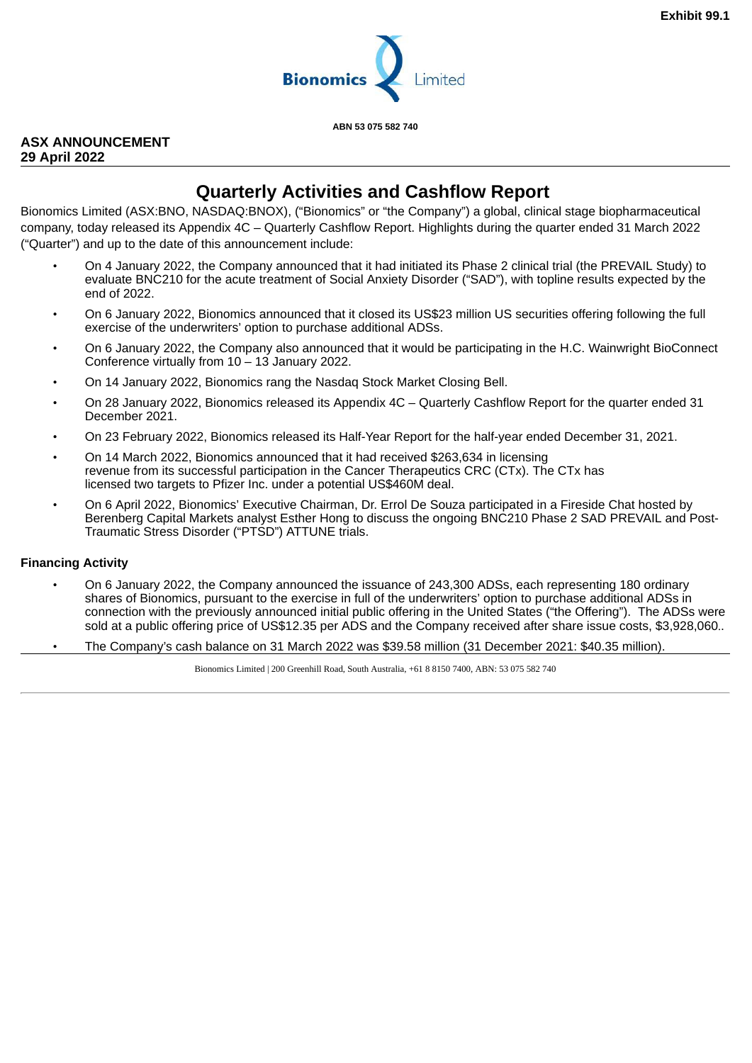

**ABN 53 075 582 740**

# <span id="page-4-0"></span>**ASX ANNOUNCEMENT 29 April 2022**

# **Quarterly Activities and Cashflow Report**

Bionomics Limited (ASX:BNO, NASDAQ:BNOX), ("Bionomics" or "the Company") a global, clinical stage biopharmaceutical company, today released its Appendix 4C – Quarterly Cashflow Report. Highlights during the quarter ended 31 March 2022 ("Quarter") and up to the date of this announcement include:

- On 4 January 2022, the Company announced that it had initiated its Phase 2 clinical trial (the PREVAIL Study) to evaluate BNC210 for the acute treatment of Social Anxiety Disorder ("SAD"), with topline results expected by the end of 2022.
- On 6 January 2022, Bionomics announced that it closed its US\$23 million US securities offering following the full exercise of the underwriters' option to purchase additional ADSs.
- On 6 January 2022, the Company also announced that it would be participating in the H.C. Wainwright BioConnect Conference virtually from 10 – 13 January 2022.
- On 14 January 2022, Bionomics rang the Nasdaq Stock Market Closing Bell.
- On 28 January 2022, Bionomics released its Appendix 4C Quarterly Cashflow Report for the quarter ended 31 December 2021.
- On 23 February 2022, Bionomics released its Half-Year Report for the half-year ended December 31, 2021.
- On 14 March 2022, Bionomics announced that it had received \$263,634 in licensing revenue from its successful participation in the Cancer Therapeutics CRC (CTx). The CTx has licensed two targets to Pfizer Inc. under a potential US\$460M deal.
- On 6 April 2022, Bionomics' Executive Chairman, Dr. Errol De Souza participated in a Fireside Chat hosted by Berenberg Capital Markets analyst Esther Hong to discuss the ongoing BNC210 Phase 2 SAD PREVAIL and Post-Traumatic Stress Disorder ("PTSD") ATTUNE trials.

# **Financing Activity**

- On 6 January 2022, the Company announced the issuance of 243,300 ADSs, each representing 180 ordinary shares of Bionomics, pursuant to the exercise in full of the underwriters' option to purchase additional ADSs in connection with the previously announced initial public offering in the United States ("the Offering"). The ADSs were sold at a public offering price of US\$12.35 per ADS and the Company received after share issue costs, \$3,928,060..
- The Company's cash balance on 31 March 2022 was \$39.58 million (31 December 2021: \$40.35 million).

Bionomics Limited | 200 Greenhill Road, South Australia, +61 8 8150 7400, ABN: 53 075 582 740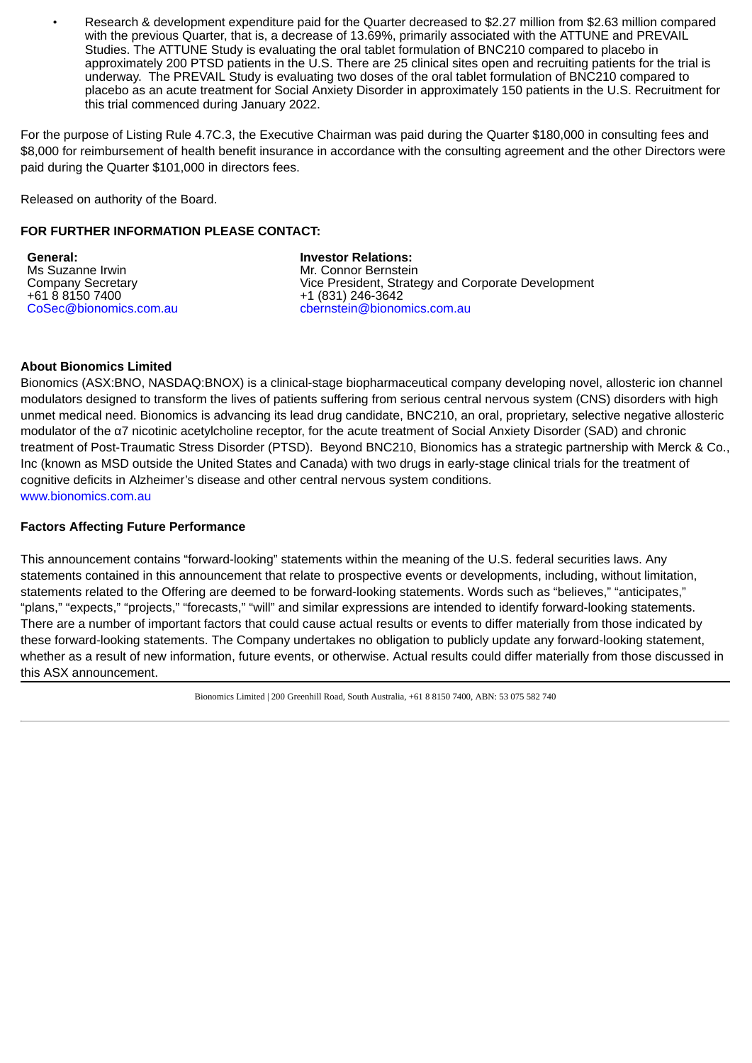• Research & development expenditure paid for the Quarter decreased to \$2.27 million from \$2.63 million compared with the previous Quarter, that is, a decrease of 13.69%, primarily associated with the ATTUNE and PREVAIL Studies. The ATTUNE Study is evaluating the oral tablet formulation of BNC210 compared to placebo in approximately 200 PTSD patients in the U.S. There are 25 clinical sites open and recruiting patients for the trial is underway. The PREVAIL Study is evaluating two doses of the oral tablet formulation of BNC210 compared to placebo as an acute treatment for Social Anxiety Disorder in approximately 150 patients in the U.S. Recruitment for this trial commenced during January 2022.

For the purpose of Listing Rule 4.7C.3, the Executive Chairman was paid during the Quarter \$180,000 in consulting fees and \$8,000 for reimbursement of health benefit insurance in accordance with the consulting agreement and the other Directors were paid during the Quarter \$101,000 in directors fees.

Released on authority of the Board.

# **FOR FURTHER INFORMATION PLEASE CONTACT:**

**General:** Ms Suzanne Irwin Company Secretary +61 8 8150 7400 CoSec@bionomics.com.au **Investor Relations:** Mr. Connor Bernstein Vice President, Strategy and Corporate Development +1 (831) 246-3642 cbernstein@bionomics.com.au

# **About Bionomics Limited**

Bionomics (ASX:BNO, NASDAQ:BNOX) is a clinical-stage biopharmaceutical company developing novel, allosteric ion channel modulators designed to transform the lives of patients suffering from serious central nervous system (CNS) disorders with high unmet medical need. Bionomics is advancing its lead drug candidate, BNC210, an oral, proprietary, selective negative allosteric modulator of the α7 nicotinic acetylcholine receptor, for the acute treatment of Social Anxiety Disorder (SAD) and chronic treatment of Post-Traumatic Stress Disorder (PTSD). Beyond BNC210, Bionomics has a strategic partnership with Merck & Co., Inc (known as MSD outside the United States and Canada) with two drugs in early-stage clinical trials for the treatment of cognitive deficits in Alzheimer's disease and other central nervous system conditions. www.bionomics.com.au

# **Factors Affecting Future Performance**

This announcement contains "forward-looking" statements within the meaning of the U.S. federal securities laws. Any statements contained in this announcement that relate to prospective events or developments, including, without limitation, statements related to the Offering are deemed to be forward-looking statements. Words such as "believes," "anticipates," "plans," "expects," "projects," "forecasts," "will" and similar expressions are intended to identify forward-looking statements. There are a number of important factors that could cause actual results or events to differ materially from those indicated by these forward-looking statements. The Company undertakes no obligation to publicly update any forward-looking statement, whether as a result of new information, future events, or otherwise. Actual results could differ materially from those discussed in this ASX announcement.

Bionomics Limited | 200 Greenhill Road, South Australia, +61 8 8150 7400, ABN: 53 075 582 740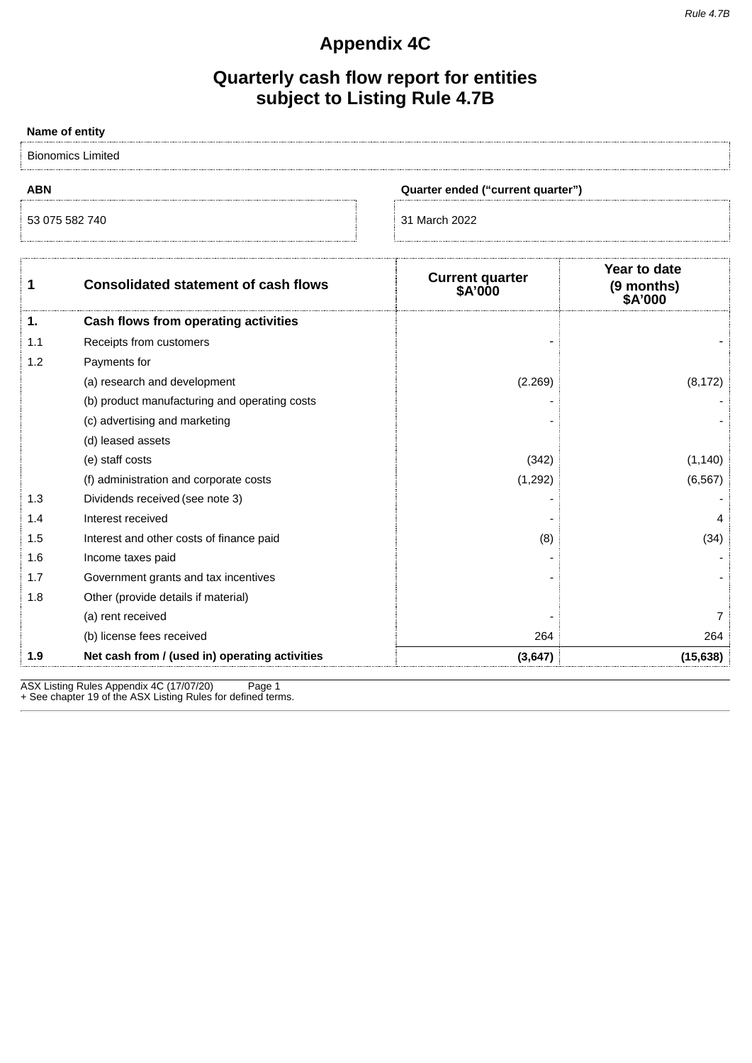# **Appendix 4C**

# **Quarterly cash flow report for entities subject to Listing Rule 4.7B**

| Name of entity |                                                |                                   |                                             |
|----------------|------------------------------------------------|-----------------------------------|---------------------------------------------|
|                | <b>Bionomics Limited</b>                       |                                   |                                             |
| <b>ABN</b>     | Quarter ended ("current quarter")              |                                   |                                             |
| 53 075 582 740 |                                                | 31 March 2022                     |                                             |
| $\mathbf{1}$   | <b>Consolidated statement of cash flows</b>    | <b>Current quarter</b><br>\$A'000 | Year to date<br>(9 months)<br><b>SA'000</b> |
| 1.             | Cash flows from operating activities           |                                   |                                             |
| 1.1            | Receipts from customers                        |                                   |                                             |
| 1.2            | Payments for                                   |                                   |                                             |
|                | (a) research and development                   | (2.269)                           | (8, 172)                                    |
|                | (b) product manufacturing and operating costs  |                                   |                                             |
|                | (c) advertising and marketing                  |                                   |                                             |
|                | (d) leased assets                              |                                   |                                             |
|                | (e) staff costs                                | (342)                             | (1, 140)                                    |
|                | (f) administration and corporate costs         | (1, 292)                          | (6, 567)                                    |
| 1.3            | Dividends received (see note 3)                |                                   |                                             |
| 1.4            | Interest received                              |                                   | 4                                           |
| 1.5            | Interest and other costs of finance paid       | (8)                               | (34)                                        |
| 1.6            | Income taxes paid                              |                                   |                                             |
| 1.7            | Government grants and tax incentives           |                                   |                                             |
| 1.8            | Other (provide details if material)            |                                   |                                             |
|                | (a) rent received                              |                                   | 7                                           |
|                | (b) license fees received                      | 264                               | 264                                         |
| 1.9            | Net cash from / (used in) operating activities | (3,647)                           | (15, 638)                                   |

ASX Listing Rules Appendix 4C (17/07/20) Page 1 + See chapter 19 of the ASX Listing Rules for defined terms.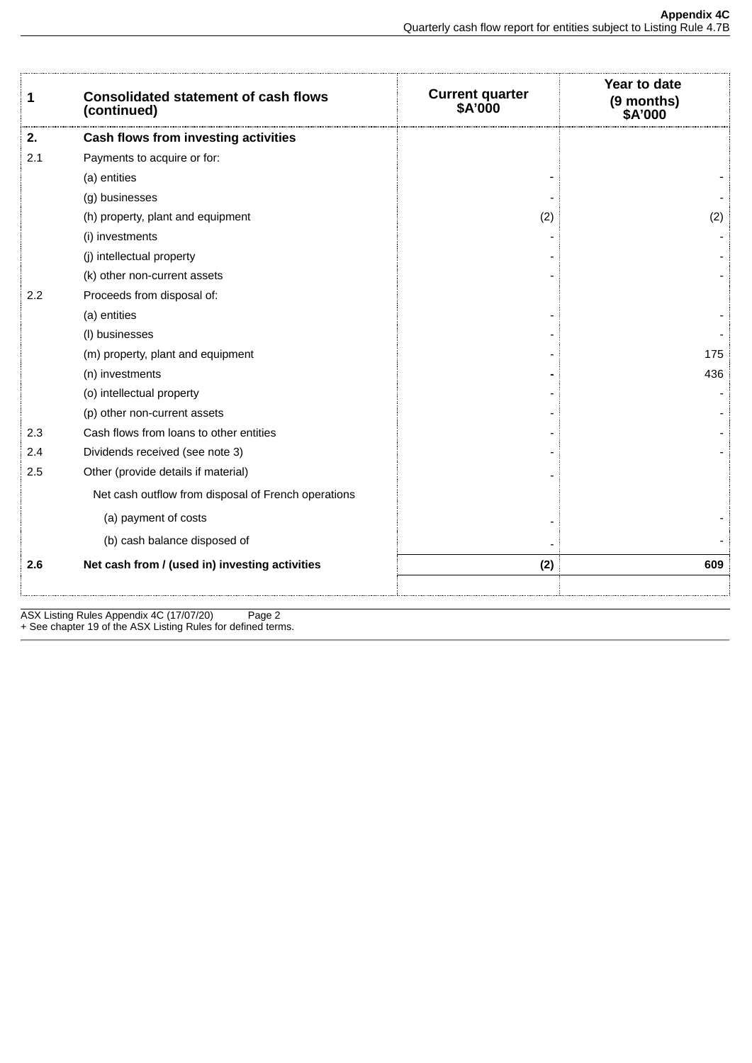| 1   | <b>Consolidated statement of cash flows</b><br>(continued) | <b>Current quarter<br/>\$A'000</b> | Year to date<br>(9 months)<br><b>\$A'000</b> |
|-----|------------------------------------------------------------|------------------------------------|----------------------------------------------|
| 2.  | Cash flows from investing activities                       |                                    |                                              |
| 2.1 | Payments to acquire or for:                                |                                    |                                              |
|     | (a) entities                                               |                                    |                                              |
|     | (g) businesses                                             |                                    |                                              |
|     | (h) property, plant and equipment                          | (2)                                | (2)                                          |
|     | (i) investments                                            |                                    |                                              |
|     | (j) intellectual property                                  |                                    |                                              |
|     | (k) other non-current assets                               |                                    |                                              |
| 2.2 | Proceeds from disposal of:                                 |                                    |                                              |
|     | (a) entities                                               |                                    |                                              |
|     | (I) businesses                                             |                                    |                                              |
|     | (m) property, plant and equipment                          |                                    | 175                                          |
|     | (n) investments                                            |                                    | 436                                          |
|     | (o) intellectual property                                  |                                    |                                              |
|     | (p) other non-current assets                               |                                    |                                              |
| 2.3 | Cash flows from loans to other entities                    |                                    |                                              |
| 2.4 | Dividends received (see note 3)                            |                                    |                                              |
| 2.5 | Other (provide details if material)                        |                                    |                                              |
|     | Net cash outflow from disposal of French operations        |                                    |                                              |
|     | (a) payment of costs                                       |                                    |                                              |
|     | (b) cash balance disposed of                               |                                    |                                              |
| 2.6 | Net cash from / (used in) investing activities             | (2)                                | 609                                          |
|     |                                                            |                                    |                                              |

ASX Listing Rules Appendix 4C (17/07/20) Page 2 + See chapter 19 of the ASX Listing Rules for defined terms.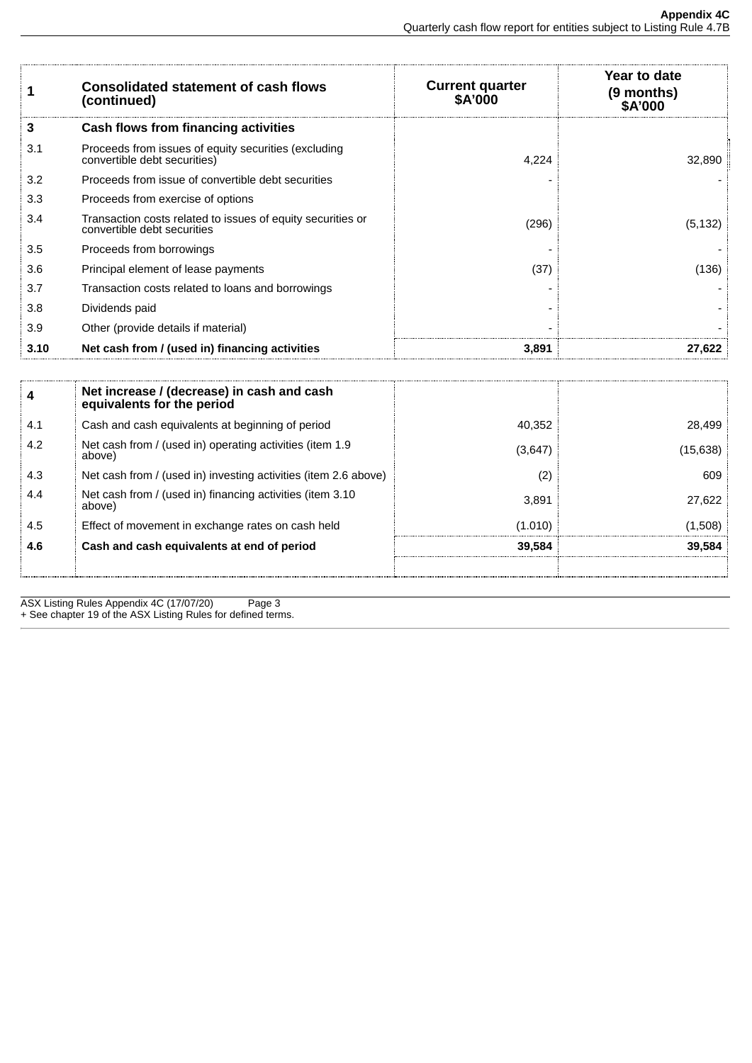| 1    | <b>Consolidated statement of cash flows</b><br>(continued)                                 | <b>Current quarter</b><br><b>\$A'000</b> | Year to date<br>(9 months)<br><b>\$A'000</b> |
|------|--------------------------------------------------------------------------------------------|------------------------------------------|----------------------------------------------|
| 3    | Cash flows from financing activities                                                       |                                          |                                              |
| 3.1  | Proceeds from issues of equity securities (excluding<br>convertible debt securities)       | 4,224                                    | 32,890                                       |
| 3.2  | Proceeds from issue of convertible debt securities                                         |                                          |                                              |
| 3.3  | Proceeds from exercise of options                                                          |                                          |                                              |
| 3.4  | Transaction costs related to issues of equity securities or<br>convertible debt securities | (296)                                    | (5, 132)                                     |
| 3.5  | Proceeds from borrowings                                                                   |                                          |                                              |
| 3.6  | Principal element of lease payments                                                        | (37)                                     | (136)                                        |
| 3.7  | Transaction costs related to loans and borrowings                                          |                                          |                                              |
| 3.8  | Dividends paid                                                                             |                                          |                                              |
| 3.9  | Other (provide details if material)                                                        |                                          |                                              |
| 3.10 | Net cash from / (used in) financing activities                                             | 3.891                                    | 27.622                                       |
|      |                                                                                            |                                          |                                              |
| 4    | Net increase / (decrease) in cash and cash<br>equivalents for the period                   |                                          |                                              |
| 4.1  | Cash and cash equivalents at beginning of period                                           | 40,352                                   | 28,499                                       |
| 4.2  | Net cash from / (used in) operating activities (item 1.9<br>above)                         | (3,647)                                  | (15, 638)                                    |
| 4.3  | Net cash from / (used in) investing activities (item 2.6 above)                            | (2)                                      | 609                                          |

| - 4.6   | Cash and cash equivalents at end of period                          | 39.584  | 39.584     |
|---------|---------------------------------------------------------------------|---------|------------|
| : 4.5   | Effect of movement in exchange rates on cash held                   | (1.010) | (1,508)    |
| 4.4     | Net cash from / (used in) financing activities (item 3.10<br>above) | 3.891   | 27.622     |
| 3. 4. ت | The cash from 7 (used in) investing activities (item 2.6 above)     |         | <b>DUY</b> |

ASX Listing Rules Appendix 4C (17/07/20) Page 3 + See chapter 19 of the ASX Listing Rules for defined terms.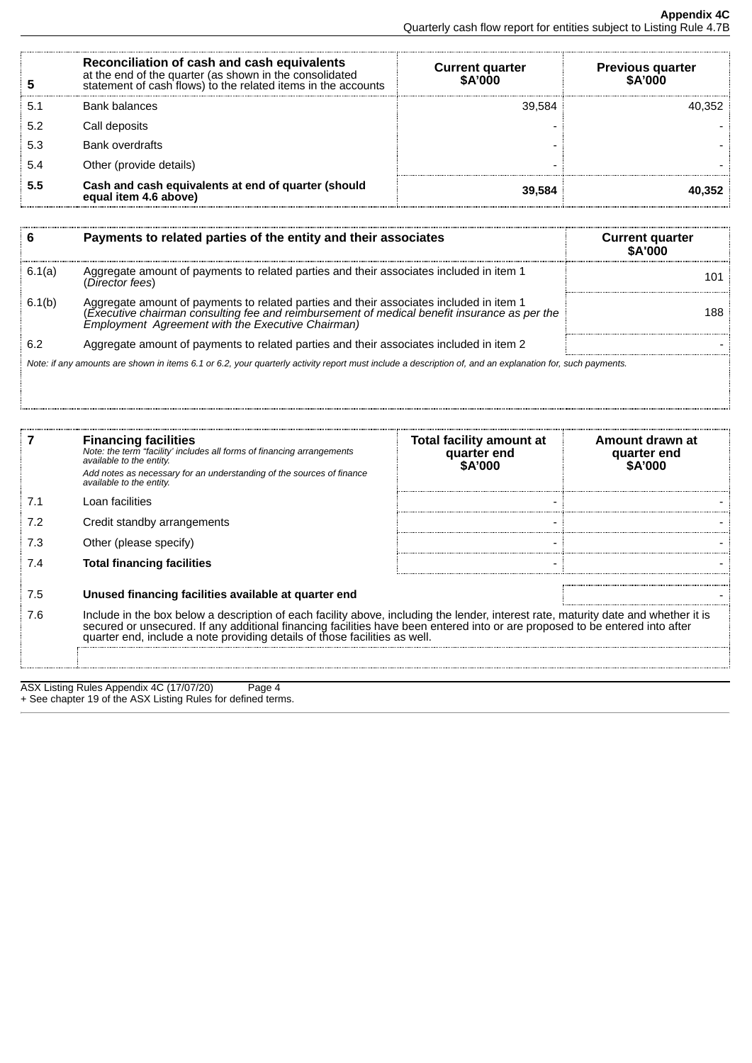|     | Reconciliation of cash and cash equivalents<br>at the end of the quarter (as shown in the consolidated<br>statement of cash flows) to the related items in the accounts | <b>Current quarter</b><br><b>SA'000</b> | <b>Previous quarter</b><br><b>SA'000</b> |
|-----|-------------------------------------------------------------------------------------------------------------------------------------------------------------------------|-----------------------------------------|------------------------------------------|
| 5.1 | <b>Bank balances</b>                                                                                                                                                    | 39.584                                  | 40.352                                   |
| 5.2 | Call deposits                                                                                                                                                           |                                         |                                          |
| 5.3 | <b>Bank overdrafts</b>                                                                                                                                                  |                                         |                                          |
|     | Other (provide details)                                                                                                                                                 |                                         |                                          |
| 5.5 | Cash and cash equivalents at end of quarter (should<br>equal item 4.6 above)                                                                                            | 39.584                                  | 40.352                                   |

|        | Payments to related parties of the entity and their associates                                                                                                                                                                               | <b>Current quarter</b><br><b>SA'000</b> |
|--------|----------------------------------------------------------------------------------------------------------------------------------------------------------------------------------------------------------------------------------------------|-----------------------------------------|
| 6.1(a) | Aggregate amount of payments to related parties and their associates included in item 1<br>(Director fees)                                                                                                                                   | 101                                     |
| 6.1(b) | Aggregate amount of payments to related parties and their associates included in item 1<br>(Executive chairman consulting fee and reimbursement of medical benefit insurance as per the<br>Employment Agreement with the Executive Chairman) | 188.                                    |
| 6.2    | Aggregate amount of payments to related parties and their associates included in item 2                                                                                                                                                      |                                         |
|        | Note: if any amounts are shown in items 6.1 or 6.2, your quarterly activity report must include a description of, and an explanation for, such payments.                                                                                     |                                         |

|            | <b>Financing facilities</b><br>Note: the term "facility' includes all forms of financing arrangements<br>available to the entity.<br>Add notes as necessary for an understanding of the sources of finance<br>available to the entity.                                                                                                                               | Total facility amount at<br>quarter end<br>\$A'000 | Amount drawn at<br>quarter end<br>\$A'000 |
|------------|----------------------------------------------------------------------------------------------------------------------------------------------------------------------------------------------------------------------------------------------------------------------------------------------------------------------------------------------------------------------|----------------------------------------------------|-------------------------------------------|
| 7.1        | Loan facilities                                                                                                                                                                                                                                                                                                                                                      |                                                    |                                           |
| 7.2        | Credit standby arrangements                                                                                                                                                                                                                                                                                                                                          |                                                    |                                           |
| 7.3        | Other (please specify)                                                                                                                                                                                                                                                                                                                                               |                                                    |                                           |
| 7.4        | <b>Total financing facilities</b>                                                                                                                                                                                                                                                                                                                                    |                                                    |                                           |
| 7.5<br>7.6 | Unused financing facilities available at quarter end<br>Include in the box below a description of each facility above, including the lender, interest rate, maturity date and whether it is secured or unsecured. If any additional financing facilities have been entered into or are<br>quarter end, include a note providing details of those facilities as well. |                                                    |                                           |
|            |                                                                                                                                                                                                                                                                                                                                                                      |                                                    |                                           |

ASX Listing Rules Appendix 4C (17/07/20) Page 4 + See chapter 19 of the ASX Listing Rules for defined terms.

Î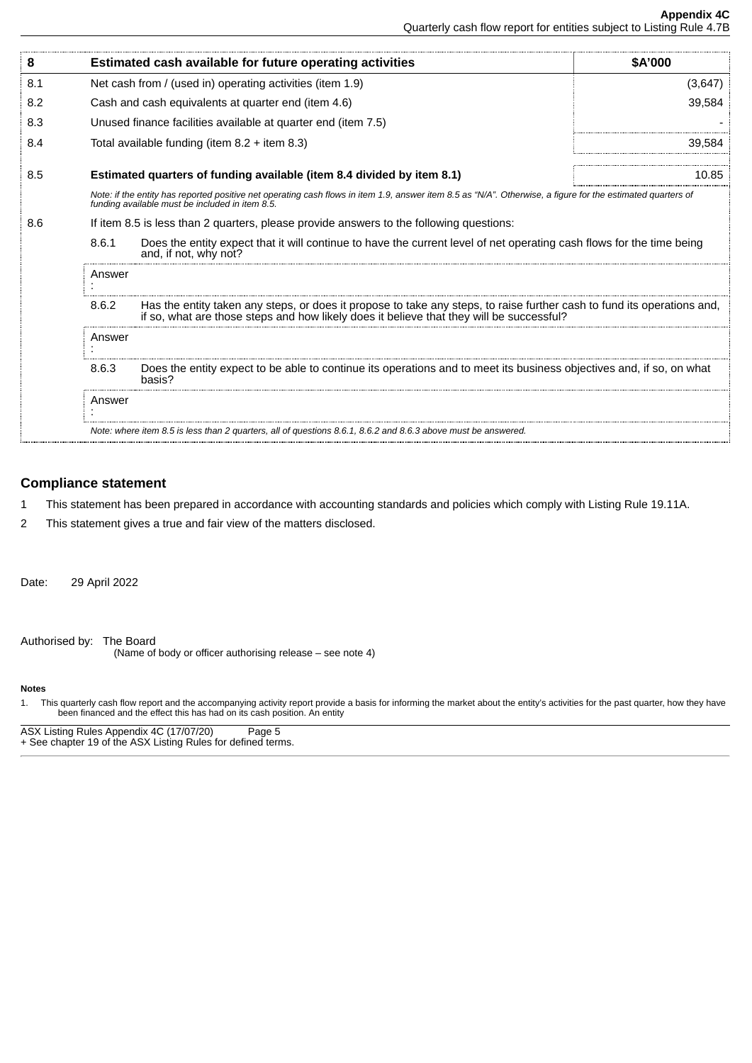| 8      |                                                                                                                                                                                                                              | Estimated cash available for future operating activities                                                                                       | <b>SA'000</b> |
|--------|------------------------------------------------------------------------------------------------------------------------------------------------------------------------------------------------------------------------------|------------------------------------------------------------------------------------------------------------------------------------------------|---------------|
| 8.1    |                                                                                                                                                                                                                              | Net cash from / (used in) operating activities (item 1.9)                                                                                      | (3,647)       |
| 8.2    |                                                                                                                                                                                                                              | Cash and cash equivalents at quarter end (item 4.6)                                                                                            | 39,584        |
| 8.3    |                                                                                                                                                                                                                              | Unused finance facilities available at quarter end (item 7.5)                                                                                  |               |
| 8.4    |                                                                                                                                                                                                                              | Total available funding (item $8.2 +$ item $8.3$ )                                                                                             | 39.584        |
| 8.5    |                                                                                                                                                                                                                              | Estimated quarters of funding available (item 8.4 divided by item 8.1)                                                                         | 10.85         |
|        | Note: if the entity has reported positive net operating cash flows in item 1.9, answer item 8.5 as "N/A". Otherwise, a figure for the estimated quarters of<br>funding available must be included in item 8.5.               |                                                                                                                                                |               |
| 8.6    | If item 8.5 is less than 2 quarters, please provide answers to the following questions:                                                                                                                                      |                                                                                                                                                |               |
|        | 8.6.1                                                                                                                                                                                                                        | Does the entity expect that it will continue to have the current level of net operating cash flows for the time being<br>and, if not, why not? |               |
|        | Answer                                                                                                                                                                                                                       |                                                                                                                                                |               |
|        | Has the entity taken any steps, or does it propose to take any steps, to raise further cash to fund its operations and,<br>8.6.2<br>if so, what are those steps and how likely does it believe that they will be successful? |                                                                                                                                                |               |
| Answer |                                                                                                                                                                                                                              |                                                                                                                                                |               |
|        | Does the entity expect to be able to continue its operations and to meet its business objectives and, if so, on what<br>8.6.3<br>basis?                                                                                      |                                                                                                                                                |               |
|        | Answer                                                                                                                                                                                                                       |                                                                                                                                                |               |
|        |                                                                                                                                                                                                                              | Note: where item 8.5 is less than 2 quarters, all of questions 8.6.1, 8.6.2 and 8.6.3 above must be answered.                                  |               |

# **Compliance statement**

- 1 This statement has been prepared in accordance with accounting standards and policies which comply with Listing Rule 19.11A.
- 2 This statement gives a true and fair view of the matters disclosed.

Date: 29 April 2022

Authorised by: The Board (Name of body or officer authorising release – see note 4)

# **Notes**

1. This quarterly cash flow report and the accompanying activity report provide a basis for informing the market about the entity's activities for the past quarter, how they have been financed and the effect this has had on its cash position. An entity

ASX Listing Rules Appendix 4C (17/07/20) Page 5 + See chapter 19 of the ASX Listing Rules for defined terms.